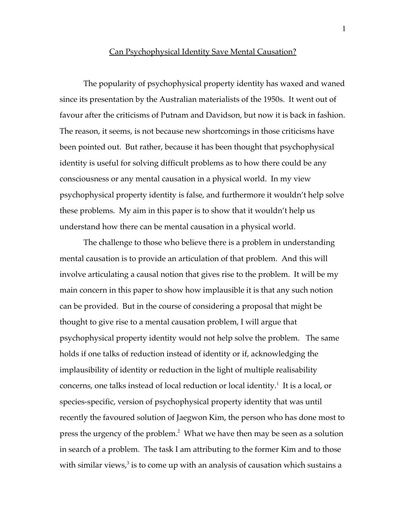## Can Psychophysical Identity Save Mental Causation?

The popularity of psychophysical property identity has waxed and waned since its presentation by the Australian materialists of the 1950s. It went out of favour after the criticisms of Putnam and Davidson, but now it is back in fashion. The reason, it seems, is not because new shortcomings in those criticisms have been pointed out. But rather, because it has been thought that psychophysical identity is useful for solving difficult problems as to how there could be any consciousness or any mental causation in a physical world. In my view psychophysical property identity is false, and furthermore it wouldn't help solve these problems. My aim in this paper is to show that it wouldn't help us understand how there can be mental causation in a physical world.

The challenge to those who believe there is a problem in understanding mental causation is to provide an articulation of that problem. And this will involve articulating a causal notion that gives rise to the problem. It will be my main concern in this paper to show how implausible it is that any such notion can be provided. But in the course of considering a proposal that might be thought to give rise to a mental causation problem, I will argue that psychophysical property identity would not help solve the problem. The same holds if one talks of reduction instead of identity or if, acknowledging the implausibility of identity or reduction in the light of multiple realisability concerns, one talks instead of local reduction or local identity.<sup>1</sup> It is a local, or species-specific, version of psychophysical property identity that was until recently the favoured solution of Jaegwon Kim, the person who has done most to press the urgency of the problem.<sup>2</sup> What we have then may be seen as a solution in search of a problem. The task I am attributing to the former Kim and to those with similar views, $3$  is to come up with an analysis of causation which sustains a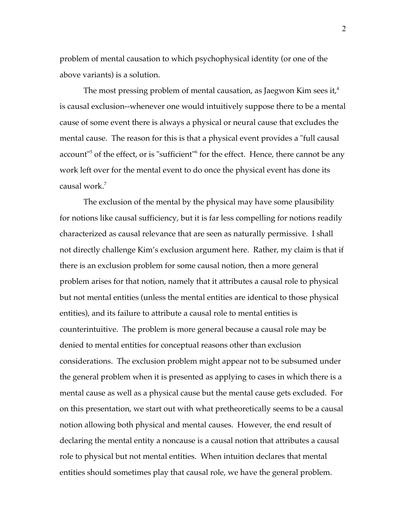problem of mental causation to which psychophysical identity (or one of the above variants) is a solution.

The most pressing problem of mental causation, as Jaegwon Kim sees it, $^4$ is causal exclusion--whenever one would intuitively suppose there to be a mental cause of some event there is always a physical or neural cause that excludes the mental cause. The reason for this is that a physical event provides a "full causal account"<sup>5</sup> of the effect, or is "sufficient"<sup>6</sup> for the effect. Hence, there cannot be any work left over for the mental event to do once the physical event has done its causal work.<sup>7</sup>

The exclusion of the mental by the physical may have some plausibility for notions like causal sufficiency, but it is far less compelling for notions readily characterized as causal relevance that are seen as naturally permissive. I shall not directly challenge Kim's exclusion argument here. Rather, my claim is that if there is an exclusion problem for some causal notion, then a more general problem arises for that notion, namely that it attributes a causal role to physical but not mental entities (unless the mental entities are identical to those physical entities), and its failure to attribute a causal role to mental entities is counterintuitive. The problem is more general because a causal role may be denied to mental entities for conceptual reasons other than exclusion considerations. The exclusion problem might appear not to be subsumed under the general problem when it is presented as applying to cases in which there is a mental cause as well as a physical cause but the mental cause gets excluded. For on this presentation, we start out with what pretheoretically seems to be a causal notion allowing both physical and mental causes. However, the end result of declaring the mental entity a noncause is a causal notion that attributes a causal role to physical but not mental entities. When intuition declares that mental entities should sometimes play that causal role, we have the general problem.

2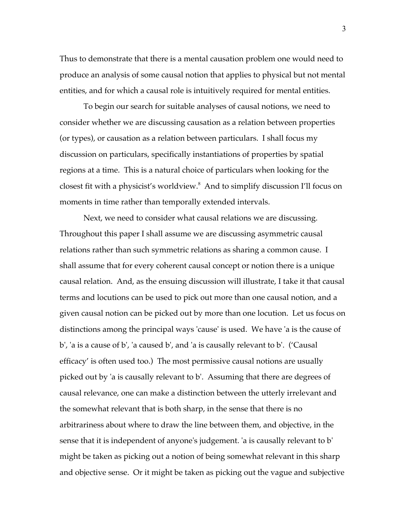Thus to demonstrate that there is a mental causation problem one would need to produce an analysis of some causal notion that applies to physical but not mental entities, and for which a causal role is intuitively required for mental entities.

To begin our search for suitable analyses of causal notions, we need to consider whether we are discussing causation as a relation between properties (or types), or causation as a relation between particulars. I shall focus my discussion on particulars, specifically instantiations of properties by spatial regions at a time. This is a natural choice of particulars when looking for the closest fit with a physicist's worldview.<sup>8</sup> And to simplify discussion I'll focus on moments in time rather than temporally extended intervals.

Next, we need to consider what causal relations we are discussing. Throughout this paper I shall assume we are discussing asymmetric causal relations rather than such symmetric relations as sharing a common cause. I shall assume that for every coherent causal concept or notion there is a unique causal relation. And, as the ensuing discussion will illustrate, I take it that causal terms and locutions can be used to pick out more than one causal notion, and a given causal notion can be picked out by more than one locution. Let us focus on distinctions among the principal ways 'cause' is used. We have 'a is the cause of b', 'a is a cause of b', 'a caused b', and 'a is causally relevant to b'. ('Causal efficacy' is often used too.) The most permissive causal notions are usually picked out by 'a is causally relevant to b'. Assuming that there are degrees of causal relevance, one can make a distinction between the utterly irrelevant and the somewhat relevant that is both sharp, in the sense that there is no arbitrariness about where to draw the line between them, and objective, in the sense that it is independent of anyone's judgement. 'a is causally relevant to b' might be taken as picking out a notion of being somewhat relevant in this sharp and objective sense. Or it might be taken as picking out the vague and subjective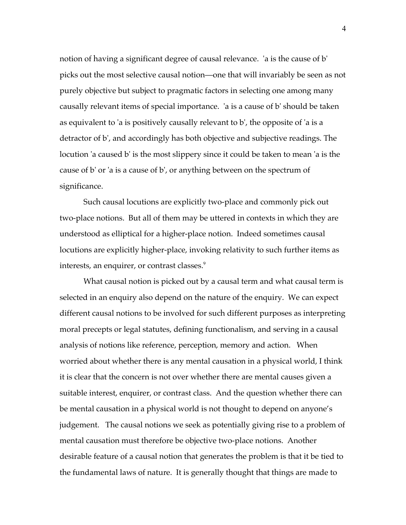notion of having a significant degree of causal relevance. 'a is the cause of b' picks out the most selective causal notion—one that will invariably be seen as not purely objective but subject to pragmatic factors in selecting one among many causally relevant items of special importance. 'a is a cause of b' should be taken as equivalent to 'a is positively causally relevant to b', the opposite of 'a is a detractor of b', and accordingly has both objective and subjective readings. The locution 'a caused b' is the most slippery since it could be taken to mean 'a is the cause of b' or 'a is a cause of b', or anything between on the spectrum of significance.

Such causal locutions are explicitly two-place and commonly pick out two-place notions. But all of them may be uttered in contexts in which they are understood as elliptical for a higher-place notion. Indeed sometimes causal locutions are explicitly higher-place, invoking relativity to such further items as interests, an enquirer, or contrast classes. $9$ 

What causal notion is picked out by a causal term and what causal term is selected in an enquiry also depend on the nature of the enquiry. We can expect different causal notions to be involved for such different purposes as interpreting moral precepts or legal statutes, defining functionalism, and serving in a causal analysis of notions like reference, perception, memory and action. When worried about whether there is any mental causation in a physical world, I think it is clear that the concern is not over whether there are mental causes given a suitable interest, enquirer, or contrast class. And the question whether there can be mental causation in a physical world is not thought to depend on anyone's judgement. The causal notions we seek as potentially giving rise to a problem of mental causation must therefore be objective two-place notions. Another desirable feature of a causal notion that generates the problem is that it be tied to the fundamental laws of nature. It is generally thought that things are made to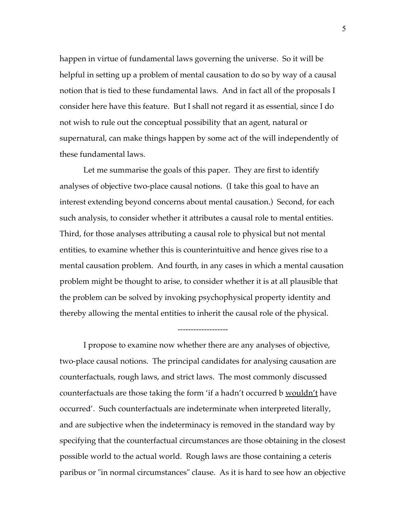happen in virtue of fundamental laws governing the universe. So it will be helpful in setting up a problem of mental causation to do so by way of a causal notion that is tied to these fundamental laws. And in fact all of the proposals I consider here have this feature. But I shall not regard it as essential, since I do not wish to rule out the conceptual possibility that an agent, natural or supernatural, can make things happen by some act of the will independently of these fundamental laws.

Let me summarise the goals of this paper. They are first to identify analyses of objective two-place causal notions. (I take this goal to have an interest extending beyond concerns about mental causation.) Second, for each such analysis, to consider whether it attributes a causal role to mental entities. Third, for those analyses attributing a causal role to physical but not mental entities, to examine whether this is counterintuitive and hence gives rise to a mental causation problem. And fourth, in any cases in which a mental causation problem might be thought to arise, to consider whether it is at all plausible that the problem can be solved by invoking psychophysical property identity and thereby allowing the mental entities to inherit the causal role of the physical.

I propose to examine now whether there are any analyses of objective, two-place causal notions. The principal candidates for analysing causation are counterfactuals, rough laws, and strict laws. The most commonly discussed counterfactuals are those taking the form 'if a hadn't occurred b <u>wouldn't</u> have occurred'. Such counterfactuals are indeterminate when interpreted literally, and are subjective when the indeterminacy is removed in the standard way by specifying that the counterfactual circumstances are those obtaining in the closest possible world to the actual world. Rough laws are those containing a ceteris paribus or "in normal circumstances" clause. As it is hard to see how an objective

-------------------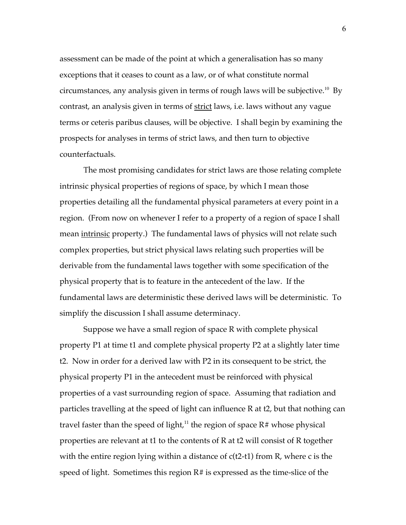assessment can be made of the point at which a generalisation has so many exceptions that it ceases to count as a law, or of what constitute normal circumstances, any analysis given in terms of rough laws will be subjective.<sup>10</sup> By contrast, an analysis given in terms of strict laws, i.e. laws without any vague terms or ceteris paribus clauses, will be objective. I shall begin by examining the prospects for analyses in terms of strict laws, and then turn to objective counterfactuals.

The most promising candidates for strict laws are those relating complete intrinsic physical properties of regions of space, by which I mean those properties detailing all the fundamental physical parameters at every point in a region. (From now on whenever I refer to a property of a region of space I shall mean <u>intrinsic</u> property.) The fundamental laws of physics will not relate such complex properties, but strict physical laws relating such properties will be derivable from the fundamental laws together with some specification of the physical property that is to feature in the antecedent of the law. If the fundamental laws are deterministic these derived laws will be deterministic. To simplify the discussion I shall assume determinacy.

Suppose we have a small region of space R with complete physical property P1 at time t1 and complete physical property P2 at a slightly later time t2. Now in order for a derived law with P2 in its consequent to be strict, the physical property P1 in the antecedent must be reinforced with physical properties of a vast surrounding region of space. Assuming that radiation and particles travelling at the speed of light can influence R at t2, but that nothing can travel faster than the speed of light, $11$  the region of space R# whose physical properties are relevant at t1 to the contents of R at t2 will consist of R together with the entire region lying within a distance of c(t2-t1) from R, where c is the speed of light. Sometimes this region R# is expressed as the time-slice of the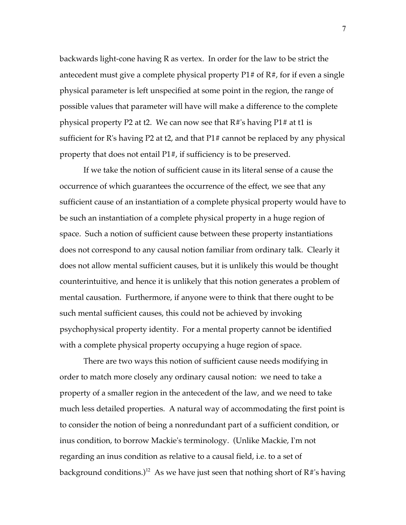backwards light-cone having R as vertex. In order for the law to be strict the antecedent must give a complete physical property P1# of R#, for if even a single physical parameter is left unspecified at some point in the region, the range of possible values that parameter will have will make a difference to the complete physical property P2 at t2. We can now see that R#'s having P1# at t1 is sufficient for R's having P2 at t2, and that P1# cannot be replaced by any physical property that does not entail P1#, if sufficiency is to be preserved.

If we take the notion of sufficient cause in its literal sense of a cause the occurrence of which guarantees the occurrence of the effect, we see that any sufficient cause of an instantiation of a complete physical property would have to be such an instantiation of a complete physical property in a huge region of space. Such a notion of sufficient cause between these property instantiations does not correspond to any causal notion familiar from ordinary talk. Clearly it does not allow mental sufficient causes, but it is unlikely this would be thought counterintuitive, and hence it is unlikely that this notion generates a problem of mental causation. Furthermore, if anyone were to think that there ought to be such mental sufficient causes, this could not be achieved by invoking psychophysical property identity. For a mental property cannot be identified with a complete physical property occupying a huge region of space.

There are two ways this notion of sufficient cause needs modifying in order to match more closely any ordinary causal notion: we need to take a property of a smaller region in the antecedent of the law, and we need to take much less detailed properties. A natural way of accommodating the first point is to consider the notion of being a nonredundant part of a sufficient condition, or inus condition, to borrow Mackie's terminology. (Unlike Mackie, I'm not regarding an inus condition as relative to a causal field, i.e. to a set of background conditions.)<sup>12</sup> As we have just seen that nothing short of  $R#$ 's having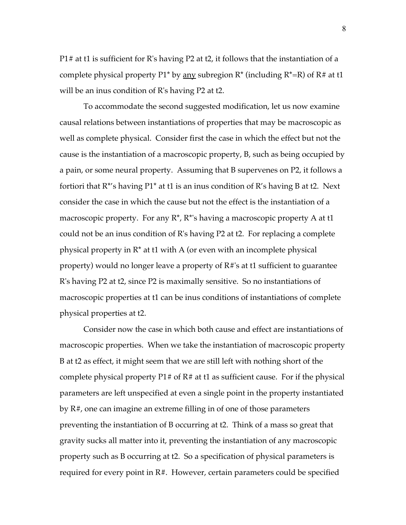P1# at t1 is sufficient for R's having P2 at t2, it follows that the instantiation of a complete physical property P1<sup>\*</sup> by <u>any</u> subregion  $R^*$  (including  $R^* = R$ ) of  $R \#$  at t1 will be an inus condition of R's having P2 at t2.

To accommodate the second suggested modification, let us now examine causal relations between instantiations of properties that may be macroscopic as well as complete physical. Consider first the case in which the effect but not the cause is the instantiation of a macroscopic property, B, such as being occupied by a pain, or some neural property. Assuming that B supervenes on P2, it follows a fortiori that R\*'s having P1\* at t1 is an inus condition of R's having B at t2. Next consider the case in which the cause but not the effect is the instantiation of a macroscopic property. For any  $R^*$ ,  $R^*$ 's having a macroscopic property A at t1 could not be an inus condition of R's having P2 at t2. For replacing a complete physical property in  $R^*$  at t1 with A (or even with an incomplete physical property) would no longer leave a property of R#'s at t1 sufficient to guarantee R's having P2 at t2, since P2 is maximally sensitive. So no instantiations of macroscopic properties at t1 can be inus conditions of instantiations of complete physical properties at t2.

Consider now the case in which both cause and effect are instantiations of macroscopic properties. When we take the instantiation of macroscopic property B at t2 as effect, it might seem that we are still left with nothing short of the complete physical property  $P1\#$  of  $R\#$  at t1 as sufficient cause. For if the physical parameters are left unspecified at even a single point in the property instantiated by R#, one can imagine an extreme filling in of one of those parameters preventing the instantiation of B occurring at t2. Think of a mass so great that gravity sucks all matter into it, preventing the instantiation of any macroscopic property such as B occurring at t2. So a specification of physical parameters is required for every point in R#. However, certain parameters could be specified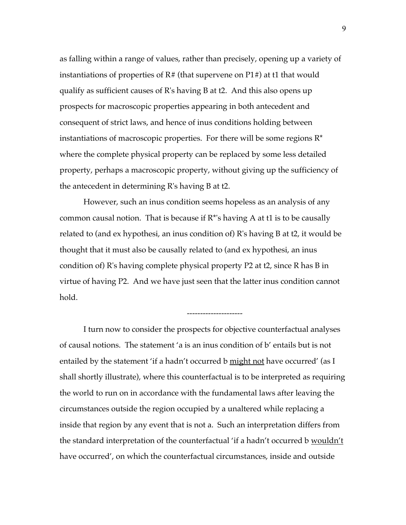as falling within a range of values, rather than precisely, opening up a variety of instantiations of properties of R# (that supervene on P1#) at t1 that would qualify as sufficient causes of R's having B at t2. And this also opens up prospects for macroscopic properties appearing in both antecedent and consequent of strict laws, and hence of inus conditions holding between instantiations of macroscopic properties. For there will be some regions  $R^*$ where the complete physical property can be replaced by some less detailed property, perhaps a macroscopic property, without giving up the sufficiency of the antecedent in determining R's having B at t2.

However, such an inus condition seems hopeless as an analysis of any common causal notion. That is because if  $R^*$ 's having A at t1 is to be causally related to (and ex hypothesi, an inus condition of) R's having B at t2, it would be thought that it must also be causally related to (and ex hypothesi, an inus condition of) R's having complete physical property P2 at t2, since R has B in virtue of having P2. And we have just seen that the latter inus condition cannot hold.

---------------------

I turn now to consider the prospects for objective counterfactual analyses of causal notions. The statement 'a is an inus condition of b' entails but is not entailed by the statement 'if a hadn't occurred b <u>might not</u> have occurred' (as I shall shortly illustrate), where this counterfactual is to be interpreted as requiring the world to run on in accordance with the fundamental laws after leaving the circumstances outside the region occupied by a unaltered while replacing a inside that region by any event that is not a. Such an interpretation differs from the standard interpretation of the counterfactual 'if a hadn't occurred b <u>wouldn't</u> have occurred', on which the counterfactual circumstances, inside and outside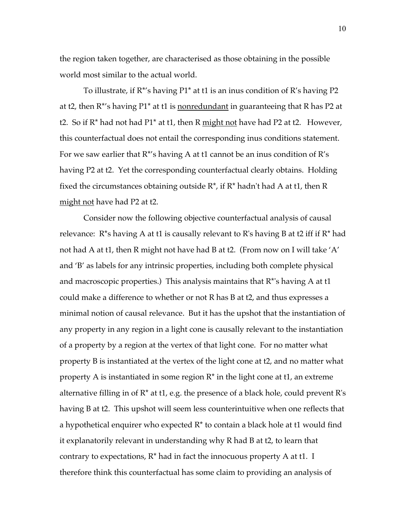the region taken together, are characterised as those obtaining in the possible world most similar to the actual world.

To illustrate, if R\*'s having P1\* at t1 is an inus condition of R's having P2 at t2, then R<sup>\*</sup>'s having P1<sup>\*</sup> at t1 is <u>nonredundant</u> in guaranteeing that R has P2 at t2. So if  $R^*$  had not had  $P1^*$  at t1, then  $R$  might not have had  $P2$  at t2. However, this counterfactual does not entail the corresponding inus conditions statement. For we saw earlier that  $R^*$ 's having A at t1 cannot be an inus condition of  $R$ 's having P2 at t2. Yet the corresponding counterfactual clearly obtains. Holding fixed the circumstances obtaining outside  $\mathbb{R}^*$ , if  $\mathbb{R}^*$  hadn't had A at t1, then R might not have had P2 at t2.

Consider now the following objective counterfactual analysis of causal relevance:  $R^*$ s having A at t1 is causally relevant to R's having B at t2 iff if  $R^*$  had not had A at t1, then R might not have had B at t2. (From now on I will take 'A' and 'B' as labels for any intrinsic properties, including both complete physical and macroscopic properties.) This analysis maintains that R\*'s having A at t1 could make a difference to whether or not R has B at t2, and thus expresses a minimal notion of causal relevance. But it has the upshot that the instantiation of any property in any region in a light cone is causally relevant to the instantiation of a property by a region at the vertex of that light cone. For no matter what property B is instantiated at the vertex of the light cone at t2, and no matter what property A is instantiated in some region  $\mathbb{R}^*$  in the light cone at t1, an extreme alternative filling in of  $R^*$  at t1, e.g. the presence of a black hole, could prevent  $R$ 's having B at t2. This upshot will seem less counterintuitive when one reflects that a hypothetical enquirer who expected R\* to contain a black hole at t1 would find it explanatorily relevant in understanding why R had B at t2, to learn that contrary to expectations,  $R^*$  had in fact the innocuous property A at t1. I therefore think this counterfactual has some claim to providing an analysis of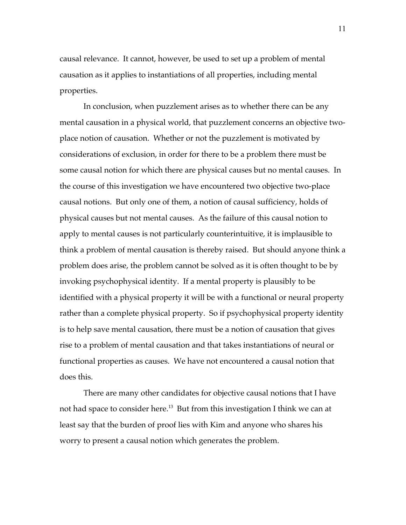causal relevance. It cannot, however, be used to set up a problem of mental causation as it applies to instantiations of all properties, including mental properties.

In conclusion, when puzzlement arises as to whether there can be any mental causation in a physical world, that puzzlement concerns an objective twoplace notion of causation. Whether or not the puzzlement is motivated by considerations of exclusion, in order for there to be a problem there must be some causal notion for which there are physical causes but no mental causes. In the course of this investigation we have encountered two objective two-place causal notions. But only one of them, a notion of causal sufficiency, holds of physical causes but not mental causes. As the failure of this causal notion to apply to mental causes is not particularly counterintuitive, it is implausible to think a problem of mental causation is thereby raised. But should anyone think a problem does arise, the problem cannot be solved as it is often thought to be by invoking psychophysical identity. If a mental property is plausibly to be identified with a physical property it will be with a functional or neural property rather than a complete physical property. So if psychophysical property identity is to help save mental causation, there must be a notion of causation that gives rise to a problem of mental causation and that takes instantiations of neural or functional properties as causes. We have not encountered a causal notion that does this.

There are many other candidates for objective causal notions that I have not had space to consider here.<sup>13</sup> But from this investigation I think we can at least say that the burden of proof lies with Kim and anyone who shares his worry to present a causal notion which generates the problem.

11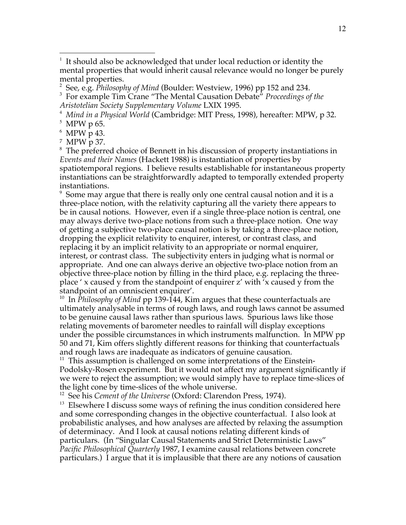2 See, e.g. *Philosophy of Mind* (Boulder: Westview, 1996) pp 152 and 234.

3 For example Tim Crane "The Mental Causation Debate" *Proceedings of the Aristotelian Society Supplementary Volume* LXIX 1995.

4 *Mind in a Physical World* (Cambridge: MIT Press, 1998), hereafter: MPW, p 32.

 $<sup>5</sup>$  MPW p 65.</sup>

6 MPW p 43.

7 MPW p 37.

<sup>8</sup> The preferred choice of Bennett in his discussion of property instantiations in *Events and their Names* (Hackett 1988) is instantiation of properties by spatiotemporal regions. I believe results establishable for instantaneous property instantiations can be straightforwardly adapted to temporally extended property instantiations.

9 Some may argue that there is really only one central causal notion and it is a three-place notion, with the relativity capturing all the variety there appears to be in causal notions. However, even if a single three-place notion is central, one may always derive two-place notions from such a three-place notion. One way of getting a subjective two-place causal notion is by taking a three-place notion, dropping the explicit relativity to enquirer, interest, or contrast class, and replacing it by an implicit relativity to an appropriate or normal enquirer, interest, or contrast class. The subjectivity enters in judging what is normal or appropriate. And one can always derive an objective two-place notion from an objective three-place notion by filling in the third place, e.g. replacing the threeplace ' x caused y from the standpoint of enquirer z' with 'x caused y from the standpoint of an omniscient enquirer'.

<sup>10</sup> In *Philosophy of Mind* pp 139-144, Kim argues that these counterfactuals are ultimately analysable in terms of rough laws, and rough laws cannot be assumed to be genuine causal laws rather than spurious laws. Spurious laws like those relating movements of barometer needles to rainfall will display exceptions under the possible circumstances in which instruments malfunction. In MPW pp 50 and 71, Kim offers slightly different reasons for thinking that counterfactuals and rough laws are inadequate as indicators of genuine causation.

 $11$  This assumption is challenged on some interpretations of the Einstein-Podolsky-Rosen experiment. But it would not affect my argument significantly if we were to reject the assumption; we would simply have to replace time-slices of the light cone by time-slices of the whole universe.

<sup>12</sup> See his *Cement of the Universe* (Oxford: Clarendon Press, 1974).

<sup>13</sup> Elsewhere I discuss some ways of refining the inus condition considered here and some corresponding changes in the objective counterfactual. I also look at probabilistic analyses, and how analyses are affected by relaxing the assumption of determinacy. And I look at causal notions relating different kinds of particulars. (In "Singular Causal Statements and Strict Deterministic Laws" *Pacific Philosophical Quarterly* 1987, I examine causal relations between concrete particulars.) I argue that it is implausible that there are any notions of causation

 $\frac{1}{1}$ <sup>1</sup> It should also be acknowledged that under local reduction or identity the mental properties that would inherit causal relevance would no longer be purely mental properties.